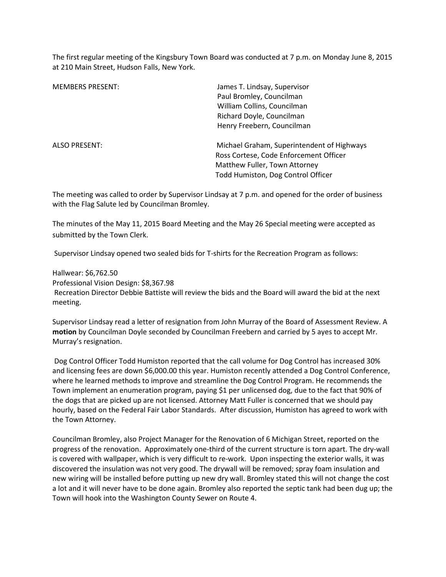The first regular meeting of the Kingsbury Town Board was conducted at 7 p.m. on Monday June 8, 2015 at 210 Main Street, Hudson Falls, New York.

| <b>MEMBERS PRESENT:</b> | James T. Lindsay, Supervisor               |
|-------------------------|--------------------------------------------|
|                         | Paul Bromley, Councilman                   |
|                         | William Collins, Councilman                |
|                         | Richard Doyle, Councilman                  |
|                         | Henry Freebern, Councilman                 |
| <b>ALSO PRESENT:</b>    | Michael Graham, Superintendent of Highways |
|                         | Ross Cortese, Code Enforcement Officer     |
|                         | Matthew Fuller, Town Attorney              |
|                         | Todd Humiston, Dog Control Officer         |
|                         |                                            |

The meeting was called to order by Supervisor Lindsay at 7 p.m. and opened for the order of business with the Flag Salute led by Councilman Bromley.

The minutes of the May 11, 2015 Board Meeting and the May 26 Special meeting were accepted as submitted by the Town Clerk.

Supervisor Lindsay opened two sealed bids for T-shirts for the Recreation Program as follows:

Hallwear: \$6,762.50 Professional Vision Design: \$8,367.98 Recreation Director Debbie Battiste will review the bids and the Board will award the bid at the next meeting.

Supervisor Lindsay read a letter of resignation from John Murray of the Board of Assessment Review. A **motion** by Councilman Doyle seconded by Councilman Freebern and carried by 5 ayes to accept Mr. Murray's resignation.

 Dog Control Officer Todd Humiston reported that the call volume for Dog Control has increased 30% and licensing fees are down \$6,000.00 this year. Humiston recently attended a Dog Control Conference, where he learned methods to improve and streamline the Dog Control Program. He recommends the Town implement an enumeration program, paying \$1 per unlicensed dog, due to the fact that 90% of the dogs that are picked up are not licensed. Attorney Matt Fuller is concerned that we should pay hourly, based on the Federal Fair Labor Standards. After discussion, Humiston has agreed to work with the Town Attorney.

Councilman Bromley, also Project Manager for the Renovation of 6 Michigan Street, reported on the progress of the renovation. Approximately one-third of the current structure is torn apart. The dry-wall is covered with wallpaper, which is very difficult to re-work. Upon inspecting the exterior walls, it was discovered the insulation was not very good. The drywall will be removed; spray foam insulation and new wiring will be installed before putting up new dry wall. Bromley stated this will not change the cost a lot and it will never have to be done again. Bromley also reported the septic tank had been dug up; the Town will hook into the Washington County Sewer on Route 4.